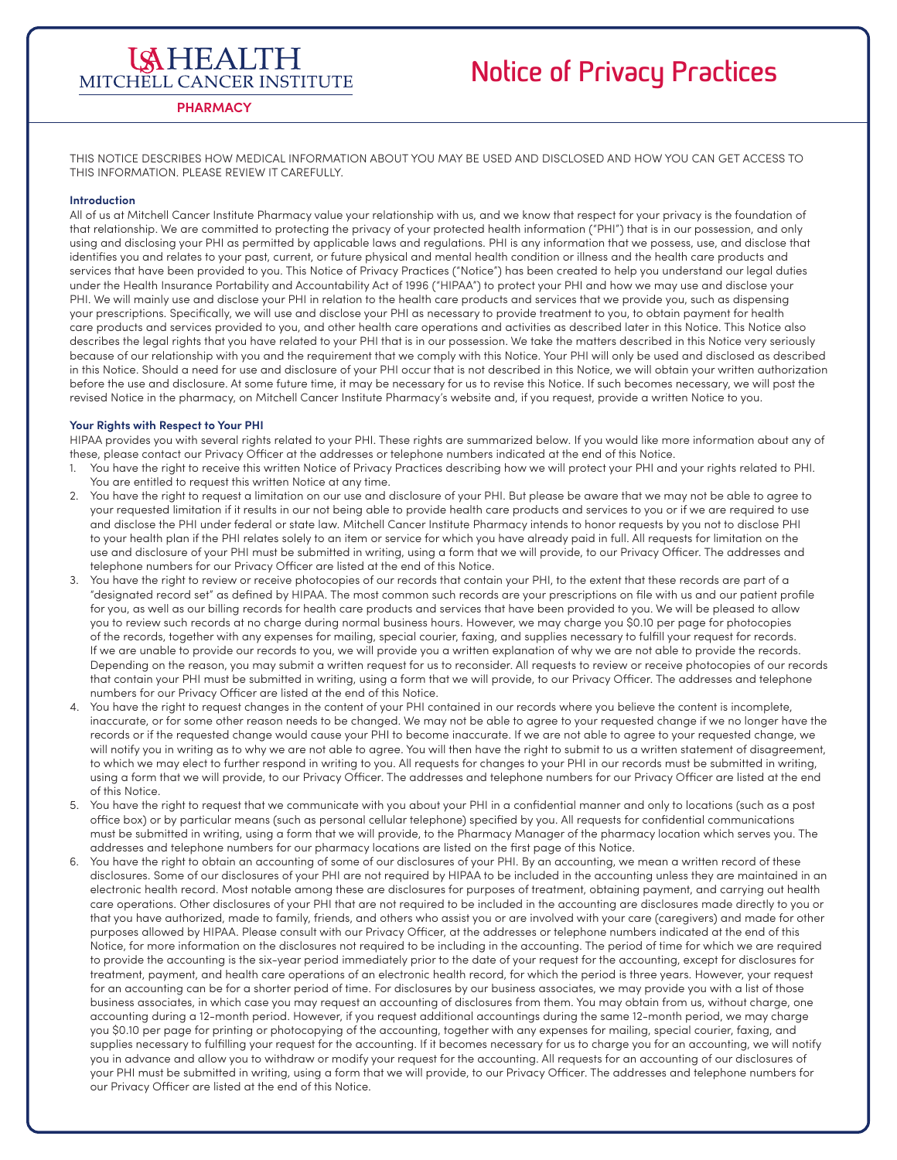### **ISHEALTH** MITCHELL CANCER INSTITUTE

### **Notice of Privacy Practices**

### **PHARMACY**

THIS NOTICE DESCRIBES HOW MEDICAL INFORMATION ABOUT YOU MAY BE USED AND DISCLOSED AND HOW YOU CAN GET ACCESS TO THIS INFORMATION. PLEASE REVIEW IT CAREFULLY.

### **Introduction**

All of us at Mitchell Cancer Institute Pharmacy value your relationship with us, and we know that respect for your privacy is the foundation of that relationship. We are committed to protecting the privacy of your protected health information ("PHI") that is in our possession, and only using and disclosing your PHI as permitted by applicable laws and regulations. PHI is any information that we possess, use, and disclose that identifies you and relates to your past, current, or future physical and mental health condition or illness and the health care products and services that have been provided to you. This Notice of Privacy Practices ("Notice") has been created to help you understand our legal duties under the Health Insurance Portability and Accountability Act of 1996 ("HIPAA") to protect your PHI and how we may use and disclose your PHI. We will mainly use and disclose your PHI in relation to the health care products and services that we provide you, such as dispensing your prescriptions. Specifically, we will use and disclose your PHI as necessary to provide treatment to you, to obtain payment for health care products and services provided to you, and other health care operations and activities as described later in this Notice. This Notice also describes the legal rights that you have related to your PHI that is in our possession. We take the matters described in this Notice very seriously because of our relationship with you and the requirement that we comply with this Notice. Your PHI will only be used and disclosed as described in this Notice. Should a need for use and disclosure of your PHI occur that is not described in this Notice, we will obtain your written authorization before the use and disclosure. At some future time, it may be necessary for us to revise this Notice. If such becomes necessary, we will post the revised Notice in the pharmacy, on Mitchell Cancer Institute Pharmacy's website and, if you request, provide a written Notice to you.

#### **Your Rights with Respect to Your PHI**

HIPAA provides you with several rights related to your PHI. These rights are summarized below. If you would like more information about any of these, please contact our Privacy Officer at the addresses or telephone numbers indicated at the end of this Notice.

- 1. You have the right to receive this written Notice of Privacy Practices describing how we will protect your PHI and your rights related to PHI. You are entitled to request this written Notice at any time.
- 2. You have the right to request a limitation on our use and disclosure of your PHI. But please be aware that we may not be able to agree to your requested limitation if it results in our not being able to provide health care products and services to you or if we are required to use and disclose the PHI under federal or state law. Mitchell Cancer Institute Pharmacy intends to honor requests by you not to disclose PHI to your health plan if the PHI relates solely to an item or service for which you have already paid in full. All requests for limitation on the use and disclosure of your PHI must be submitted in writing, using a form that we will provide, to our Privacy Officer. The addresses and telephone numbers for our Privacy Officer are listed at the end of this Notice.
- You have the right to review or receive photocopies of our records that contain your PHI, to the extent that these records are part of a "designated record set" as defined by HIPAA. The most common such records are your prescriptions on file with us and our patient profile for you, as well as our billing records for health care products and services that have been provided to you. We will be pleased to allow you to review such records at no charge during normal business hours. However, we may charge you \$0.10 per page for photocopies of the records, together with any expenses for mailing, special courier, faxing, and supplies necessary to fulfill your request for records. If we are unable to provide our records to you, we will provide you a written explanation of why we are not able to provide the records. Depending on the reason, you may submit a written request for us to reconsider. All requests to review or receive photocopies of our records that contain your PHI must be submitted in writing, using a form that we will provide, to our Privacy Officer. The addresses and telephone numbers for our Privacy Officer are listed at the end of this Notice.
- You have the right to request changes in the content of your PHI contained in our records where you believe the content is incomplete, inaccurate, or for some other reason needs to be changed. We may not be able to agree to your requested change if we no longer have the records or if the requested change would cause your PHI to become inaccurate. If we are not able to agree to your requested change, we will notify you in writing as to why we are not able to agree. You will then have the right to submit to us a written statement of disagreement, to which we may elect to further respond in writing to you. All requests for changes to your PHI in our records must be submitted in writing, using a form that we will provide, to our Privacy Officer. The addresses and telephone numbers for our Privacy Officer are listed at the end of this Notice.
- 5. You have the right to request that we communicate with you about your PHI in a confidential manner and only to locations (such as a post office box) or by particular means (such as personal cellular telephone) specified by you. All requests for confidential communications must be submitted in writing, using a form that we will provide, to the Pharmacy Manager of the pharmacy location which serves you. The addresses and telephone numbers for our pharmacy locations are listed on the first page of this Notice.
- 6. You have the right to obtain an accounting of some of our disclosures of your PHI. By an accounting, we mean a written record of these disclosures. Some of our disclosures of your PHI are not required by HIPAA to be included in the accounting unless they are maintained in an electronic health record. Most notable among these are disclosures for purposes of treatment, obtaining payment, and carrying out health care operations. Other disclosures of your PHI that are not required to be included in the accounting are disclosures made directly to you or that you have authorized, made to family, friends, and others who assist you or are involved with your care (caregivers) and made for other purposes allowed by HIPAA. Please consult with our Privacy Officer, at the addresses or telephone numbers indicated at the end of this Notice, for more information on the disclosures not required to be including in the accounting. The period of time for which we are required to provide the accounting is the six-year period immediately prior to the date of your request for the accounting, except for disclosures for treatment, payment, and health care operations of an electronic health record, for which the period is three years. However, your request for an accounting can be for a shorter period of time. For disclosures by our business associates, we may provide you with a list of those business associates, in which case you may request an accounting of disclosures from them. You may obtain from us, without charge, one accounting during a 12-month period. However, if you request additional accountings during the same 12-month period, we may charge you \$0.10 per page for printing or photocopying of the accounting, together with any expenses for mailing, special courier, faxing, and supplies necessary to fulfilling your request for the accounting. If it becomes necessary for us to charge you for an accounting, we will notify you in advance and allow you to withdraw or modify your request for the accounting. All requests for an accounting of our disclosures of your PHI must be submitted in writing, using a form that we will provide, to our Privacy Officer. The addresses and telephone numbers for our Privacy Officer are listed at the end of this Notice.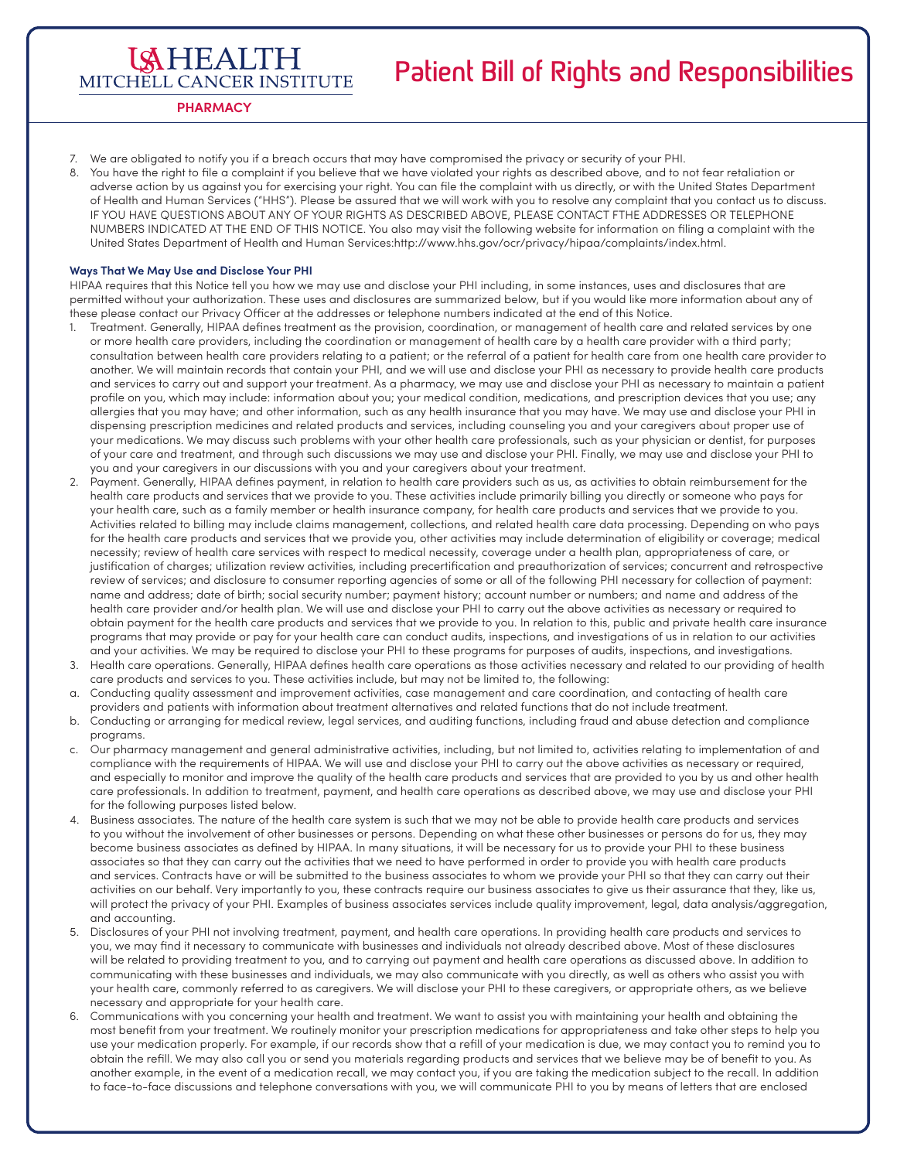# **Patient Bill of Rights and Responsibilities**

MITCHELL CANCER INSTITUTE **PHARMACY**

**ISHEALTH** 

- 7. We are obligated to notify you if a breach occurs that may have compromised the privacy or security of your PHI.
- 8. You have the right to file a complaint if you believe that we have violated your rights as described above, and to not fear retaliation or adverse action by us against you for exercising your right. You can file the complaint with us directly, or with the United States Department of Health and Human Services ("HHS"). Please be assured that we will work with you to resolve any complaint that you contact us to discuss. IF YOU HAVE QUESTIONS ABOUT ANY OF YOUR RIGHTS AS DESCRIBED ABOVE, PLEASE CONTACT FTHE ADDRESSES OR TELEPHONE NUMBERS INDICATED AT THE END OF THIS NOTICE. You also may visit the following website for information on filing a complaint with the United States Department of Health and Human Services:http://www.hhs.gov/ocr/privacy/hipaa/complaints/index.html.

#### **Ways That We May Use and Disclose Your PHI**

HIPAA requires that this Notice tell you how we may use and disclose your PHI including, in some instances, uses and disclosures that are permitted without your authorization. These uses and disclosures are summarized below, but if you would like more information about any of these please contact our Privacy Officer at the addresses or telephone numbers indicated at the end of this Notice.

- 1. Treatment. Generally, HIPAA defines treatment as the provision, coordination, or management of health care and related services by one or more health care providers, including the coordination or management of health care by a health care provider with a third party; consultation between health care providers relating to a patient; or the referral of a patient for health care from one health care provider to another. We will maintain records that contain your PHI, and we will use and disclose your PHI as necessary to provide health care products and services to carry out and support your treatment. As a pharmacy, we may use and disclose your PHI as necessary to maintain a patient profile on you, which may include: information about you; your medical condition, medications, and prescription devices that you use; any allergies that you may have; and other information, such as any health insurance that you may have. We may use and disclose your PHI in dispensing prescription medicines and related products and services, including counseling you and your caregivers about proper use of your medications. We may discuss such problems with your other health care professionals, such as your physician or dentist, for purposes of your care and treatment, and through such discussions we may use and disclose your PHI. Finally, we may use and disclose your PHI to you and your caregivers in our discussions with you and your caregivers about your treatment.
- 2. Payment. Generally, HIPAA defines payment, in relation to health care providers such as us, as activities to obtain reimbursement for the health care products and services that we provide to you. These activities include primarily billing you directly or someone who pays for your health care, such as a family member or health insurance company, for health care products and services that we provide to you. Activities related to billing may include claims management, collections, and related health care data processing. Depending on who pays for the health care products and services that we provide you, other activities may include determination of eligibility or coverage; medical necessity; review of health care services with respect to medical necessity, coverage under a health plan, appropriateness of care, or justification of charges; utilization review activities, including precertification and preauthorization of services; concurrent and retrospective review of services; and disclosure to consumer reporting agencies of some or all of the following PHI necessary for collection of payment: name and address; date of birth; social security number; payment history; account number or numbers; and name and address of the health care provider and/or health plan. We will use and disclose your PHI to carry out the above activities as necessary or required to obtain payment for the health care products and services that we provide to you. In relation to this, public and private health care insurance programs that may provide or pay for your health care can conduct audits, inspections, and investigations of us in relation to our activities and your activities. We may be required to disclose your PHI to these programs for purposes of audits, inspections, and investigations.
- 3. Health care operations. Generally, HIPAA defines health care operations as those activities necessary and related to our providing of health care products and services to you. These activities include, but may not be limited to, the following:
- a. Conducting quality assessment and improvement activities, case management and care coordination, and contacting of health care providers and patients with information about treatment alternatives and related functions that do not include treatment.
- b. Conducting or arranging for medical review, legal services, and auditing functions, including fraud and abuse detection and compliance programs.
- c. Our pharmacy management and general administrative activities, including, but not limited to, activities relating to implementation of and compliance with the requirements of HIPAA. We will use and disclose your PHI to carry out the above activities as necessary or required, and especially to monitor and improve the quality of the health care products and services that are provided to you by us and other health care professionals. In addition to treatment, payment, and health care operations as described above, we may use and disclose your PHI for the following purposes listed below.
- 4. Business associates. The nature of the health care system is such that we may not be able to provide health care products and services to you without the involvement of other businesses or persons. Depending on what these other businesses or persons do for us, they may become business associates as defined by HIPAA. In many situations, it will be necessary for us to provide your PHI to these business associates so that they can carry out the activities that we need to have performed in order to provide you with health care products and services. Contracts have or will be submitted to the business associates to whom we provide your PHI so that they can carry out their activities on our behalf. Very importantly to you, these contracts require our business associates to give us their assurance that they, like us, will protect the privacy of your PHI. Examples of business associates services include quality improvement, legal, data analysis/aggregation, and accounting.
- 5. Disclosures of your PHI not involving treatment, payment, and health care operations. In providing health care products and services to you, we may find it necessary to communicate with businesses and individuals not already described above. Most of these disclosures will be related to providing treatment to you, and to carrying out payment and health care operations as discussed above. In addition to communicating with these businesses and individuals, we may also communicate with you directly, as well as others who assist you with your health care, commonly referred to as caregivers. We will disclose your PHI to these caregivers, or appropriate others, as we believe necessary and appropriate for your health care.
- 6. Communications with you concerning your health and treatment. We want to assist you with maintaining your health and obtaining the most benefit from your treatment. We routinely monitor your prescription medications for appropriateness and take other steps to help you use your medication properly. For example, if our records show that a refill of your medication is due, we may contact you to remind you to obtain the refill. We may also call you or send you materials regarding products and services that we believe may be of benefit to you. As another example, in the event of a medication recall, we may contact you, if you are taking the medication subject to the recall. In addition to face-to-face discussions and telephone conversations with you, we will communicate PHI to you by means of letters that are enclosed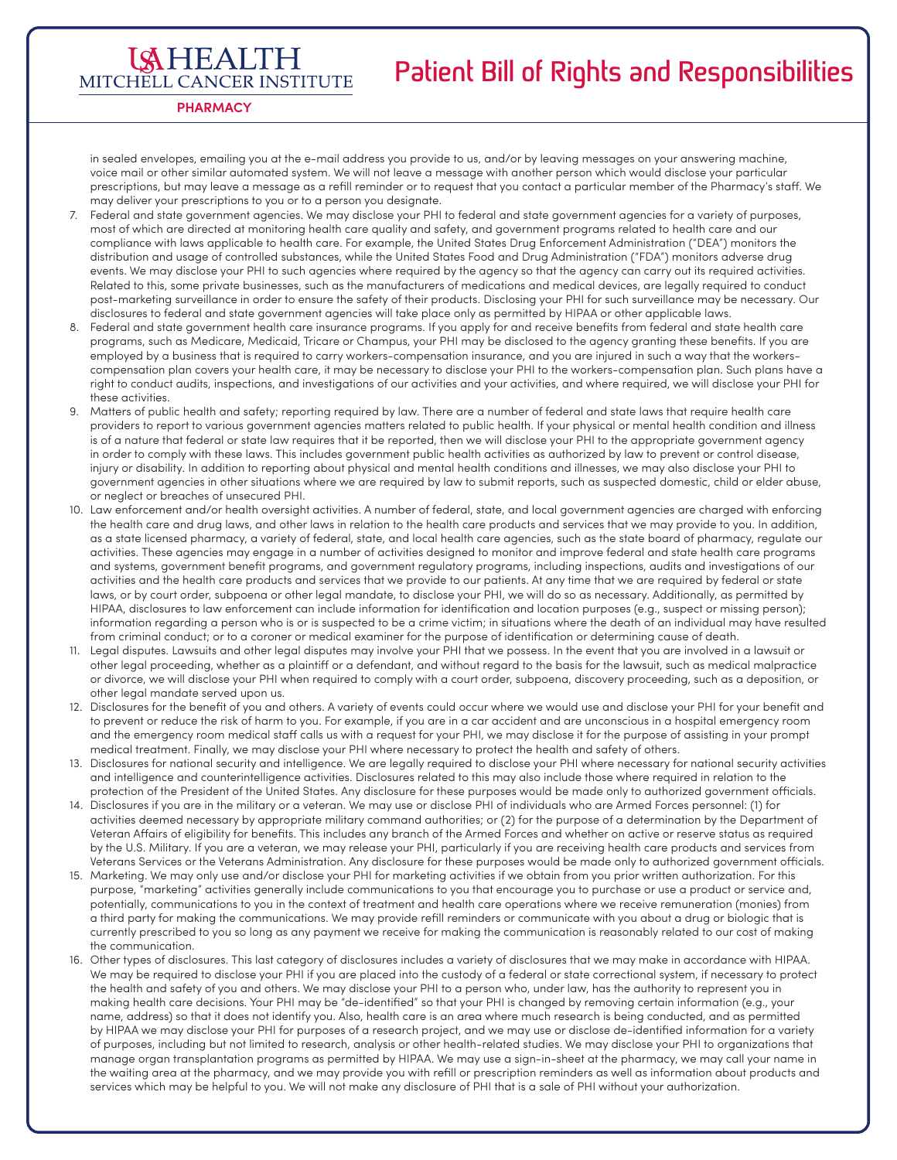### **Patient Bill of Rights and Responsibilities**

MITCHELL CANCER INSTITUTE **PHARMACY**

**ISHEALTH** 

in sealed envelopes, emailing you at the e-mail address you provide to us, and/or by leaving messages on your answering machine, voice mail or other similar automated system. We will not leave a message with another person which would disclose your particular prescriptions, but may leave a message as a refill reminder or to request that you contact a particular member of the Pharmacy's staff. We may deliver your prescriptions to you or to a person you designate.

- 7. Federal and state government agencies. We may disclose your PHI to federal and state government agencies for a variety of purposes, most of which are directed at monitoring health care quality and safety, and government programs related to health care and our compliance with laws applicable to health care. For example, the United States Drug Enforcement Administration ("DEA") monitors the distribution and usage of controlled substances, while the United States Food and Drug Administration ("FDA") monitors adverse drug events. We may disclose your PHI to such agencies where required by the agency so that the agency can carry out its required activities. Related to this, some private businesses, such as the manufacturers of medications and medical devices, are legally required to conduct post-marketing surveillance in order to ensure the safety of their products. Disclosing your PHI for such surveillance may be necessary. Our disclosures to federal and state government agencies will take place only as permitted by HIPAA or other applicable laws.
- 8. Federal and state government health care insurance programs. If you apply for and receive benefits from federal and state health care programs, such as Medicare, Medicaid, Tricare or Champus, your PHI may be disclosed to the agency granting these benefits. If you are employed by a business that is required to carry workers-compensation insurance, and you are injured in such a way that the workerscompensation plan covers your health care, it may be necessary to disclose your PHI to the workers-compensation plan. Such plans have a right to conduct audits, inspections, and investigations of our activities and your activities, and where required, we will disclose your PHI for these activities.
- 9. Matters of public health and safety; reporting required by law. There are a number of federal and state laws that require health care providers to report to various government agencies matters related to public health. If your physical or mental health condition and illness is of a nature that federal or state law requires that it be reported, then we will disclose your PHI to the appropriate government agency in order to comply with these laws. This includes government public health activities as authorized by law to prevent or control disease, injury or disability. In addition to reporting about physical and mental health conditions and illnesses, we may also disclose your PHI to government agencies in other situations where we are required by law to submit reports, such as suspected domestic, child or elder abuse, or neglect or breaches of unsecured PHI.
- 10. Law enforcement and/or health oversight activities. A number of federal, state, and local government agencies are charged with enforcing the health care and drug laws, and other laws in relation to the health care products and services that we may provide to you. In addition, as a state licensed pharmacy, a variety of federal, state, and local health care agencies, such as the state board of pharmacy, regulate our activities. These agencies may engage in a number of activities designed to monitor and improve federal and state health care programs and systems, government benefit programs, and government regulatory programs, including inspections, audits and investigations of our activities and the health care products and services that we provide to our patients. At any time that we are required by federal or state laws, or by court order, subpoena or other legal mandate, to disclose your PHI, we will do so as necessary. Additionally, as permitted by HIPAA, disclosures to law enforcement can include information for identification and location purposes (e.g., suspect or missing person); information regarding a person who is or is suspected to be a crime victim; in situations where the death of an individual may have resulted from criminal conduct; or to a coroner or medical examiner for the purpose of identification or determining cause of death.
- 11. Legal disputes. Lawsuits and other legal disputes may involve your PHI that we possess. In the event that you are involved in a lawsuit or other legal proceeding, whether as a plaintiff or a defendant, and without regard to the basis for the lawsuit, such as medical malpractice or divorce, we will disclose your PHI when required to comply with a court order, subpoena, discovery proceeding, such as a deposition, or other legal mandate served upon us.
- 12. Disclosures for the benefit of you and others. A variety of events could occur where we would use and disclose your PHI for your benefit and to prevent or reduce the risk of harm to you. For example, if you are in a car accident and are unconscious in a hospital emergency room and the emergency room medical staff calls us with a request for your PHI, we may disclose it for the purpose of assisting in your prompt medical treatment. Finally, we may disclose your PHI where necessary to protect the health and safety of others.
- 13. Disclosures for national security and intelligence. We are legally required to disclose your PHI where necessary for national security activities and intelligence and counterintelligence activities. Disclosures related to this may also include those where required in relation to the protection of the President of the United States. Any disclosure for these purposes would be made only to authorized government officials.
- 14. Disclosures if you are in the military or a veteran. We may use or disclose PHI of individuals who are Armed Forces personnel: (1) for activities deemed necessary by appropriate military command authorities; or (2) for the purpose of a determination by the Department of Veteran Affairs of eligibility for benefits. This includes any branch of the Armed Forces and whether on active or reserve status as required by the U.S. Military. If you are a veteran, we may release your PHI, particularly if you are receiving health care products and services from Veterans Services or the Veterans Administration. Any disclosure for these purposes would be made only to authorized government officials.
- 15. Marketing. We may only use and/or disclose your PHI for marketing activities if we obtain from you prior written authorization. For this purpose, "marketing" activities generally include communications to you that encourage you to purchase or use a product or service and, potentially, communications to you in the context of treatment and health care operations where we receive remuneration (monies) from a third party for making the communications. We may provide refill reminders or communicate with you about a drug or biologic that is currently prescribed to you so long as any payment we receive for making the communication is reasonably related to our cost of making the communication.
- 16. Other types of disclosures. This last category of disclosures includes a variety of disclosures that we may make in accordance with HIPAA. We may be required to disclose your PHI if you are placed into the custody of a federal or state correctional system, if necessary to protect the health and safety of you and others. We may disclose your PHI to a person who, under law, has the authority to represent you in making health care decisions. Your PHI may be "de-identified" so that your PHI is changed by removing certain information (e.g., your name, address) so that it does not identify you. Also, health care is an area where much research is being conducted, and as permitted by HIPAA we may disclose your PHI for purposes of a research project, and we may use or disclose de-identified information for a variety of purposes, including but not limited to research, analysis or other health-related studies. We may disclose your PHI to organizations that manage organ transplantation programs as permitted by HIPAA. We may use a sign-in-sheet at the pharmacy, we may call your name in the waiting area at the pharmacy, and we may provide you with refill or prescription reminders as well as information about products and services which may be helpful to you. We will not make any disclosure of PHI that is a sale of PHI without your authorization.